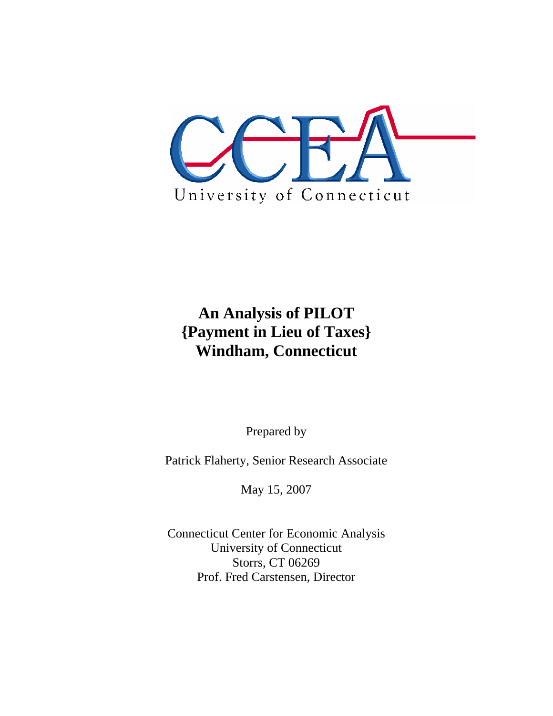

# **An Analysis of PILOT {Payment in Lieu of Taxes} Windham, Connecticut**

Prepared by

Patrick Flaherty, Senior Research Associate

May 15, 2007

Connecticut Center for Economic Analysis University of Connecticut Storrs, CT 06269 Prof. Fred Carstensen, Director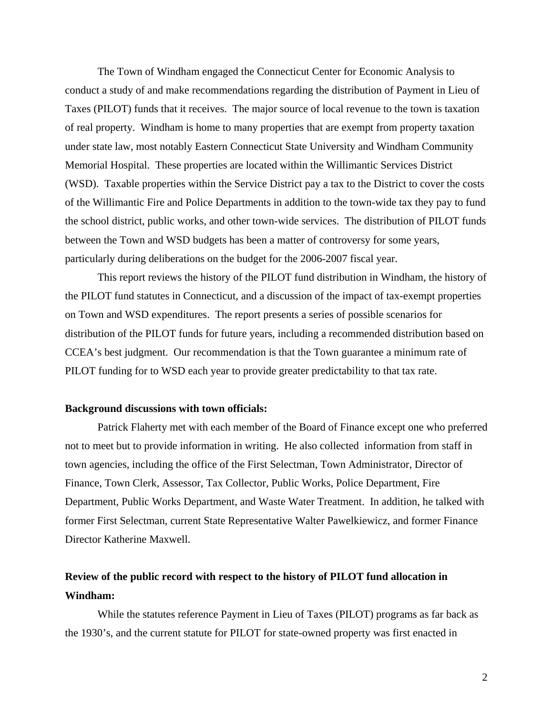The Town of Windham engaged the Connecticut Center for Economic Analysis to conduct a study of and make recommendations regarding the distribution of Payment in Lieu of Taxes (PILOT) funds that it receives. The major source of local revenue to the town is taxation of real property. Windham is home to many properties that are exempt from property taxation under state law, most notably Eastern Connecticut State University and Windham Community Memorial Hospital. These properties are located within the Willimantic Services District (WSD). Taxable properties within the Service District pay a tax to the District to cover the costs of the Willimantic Fire and Police Departments in addition to the town-wide tax they pay to fund the school district, public works, and other town-wide services. The distribution of PILOT funds between the Town and WSD budgets has been a matter of controversy for some years, particularly during deliberations on the budget for the 2006-2007 fiscal year.

 This report reviews the history of the PILOT fund distribution in Windham, the history of the PILOT fund statutes in Connecticut, and a discussion of the impact of tax-exempt properties on Town and WSD expenditures. The report presents a series of possible scenarios for distribution of the PILOT funds for future years, including a recommended distribution based on CCEA's best judgment. Our recommendation is that the Town guarantee a minimum rate of PILOT funding for to WSD each year to provide greater predictability to that tax rate.

# **Background discussions with town officials:**

 Patrick Flaherty met with each member of the Board of Finance except one who preferred not to meet but to provide information in writing. He also collected information from staff in town agencies, including the office of the First Selectman, Town Administrator, Director of Finance, Town Clerk, Assessor, Tax Collector, Public Works, Police Department, Fire Department, Public Works Department, and Waste Water Treatment. In addition, he talked with former First Selectman, current State Representative Walter Pawelkiewicz, and former Finance Director Katherine Maxwell.

# **Review of the public record with respect to the history of PILOT fund allocation in Windham:**

 While the statutes reference Payment in Lieu of Taxes (PILOT) programs as far back as the 1930's, and the current statute for PILOT for state-owned property was first enacted in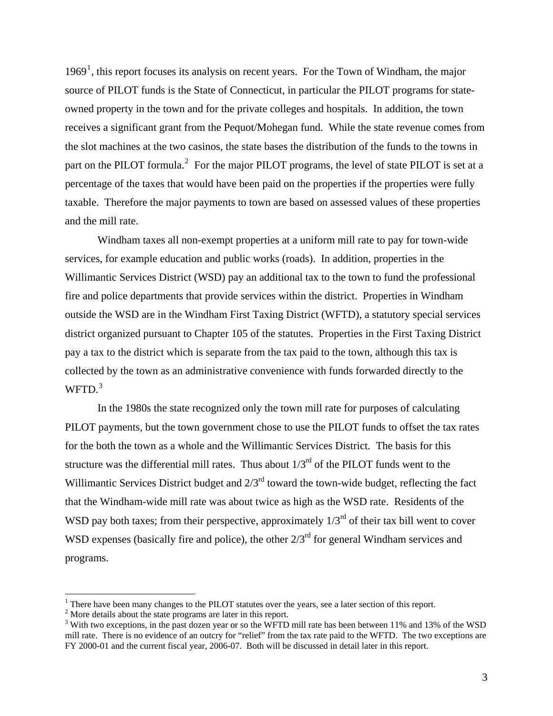$1969<sup>1</sup>$  $1969<sup>1</sup>$ , this report focuses its analysis on recent years. For the Town of Windham, the major source of PILOT funds is the State of Connecticut, in particular the PILOT programs for stateowned property in the town and for the private colleges and hospitals. In addition, the town receives a significant grant from the Pequot/Mohegan fund. While the state revenue comes from the slot machines at the two casinos, the state bases the distribution of the funds to the towns in part on the PILOT formula.<sup>[2](#page-2-1)</sup> For the major PILOT programs, the level of state PILOT is set at a percentage of the taxes that would have been paid on the properties if the properties were fully taxable. Therefore the major payments to town are based on assessed values of these properties and the mill rate.

 Windham taxes all non-exempt properties at a uniform mill rate to pay for town-wide services, for example education and public works (roads). In addition, properties in the Willimantic Services District (WSD) pay an additional tax to the town to fund the professional fire and police departments that provide services within the district. Properties in Windham outside the WSD are in the Windham First Taxing District (WFTD), a statutory special services district organized pursuant to Chapter 105 of the statutes. Properties in the First Taxing District pay a tax to the district which is separate from the tax paid to the town, although this tax is collected by the town as an administrative convenience with funds forwarded directly to the  $WFTD.<sup>3</sup>$  $WFTD.<sup>3</sup>$  $WFTD.<sup>3</sup>$ 

In the 1980s the state recognized only the town mill rate for purposes of calculating PILOT payments, but the town government chose to use the PILOT funds to offset the tax rates for the both the town as a whole and the Willimantic Services District. The basis for this structure was the differential mill rates. Thus about  $1/3<sup>rd</sup>$  of the PILOT funds went to the Willimantic Services District budget and  $2/3<sup>rd</sup>$  toward the town-wide budget, reflecting the fact that the Windham-wide mill rate was about twice as high as the WSD rate. Residents of the WSD pay both taxes; from their perspective, approximately  $1/3<sup>rd</sup>$  of their tax bill went to cover WSD expenses (basically fire and police), the other  $2/3<sup>rd</sup>$  for general Windham services and programs.

<span id="page-2-0"></span><sup>&</sup>lt;sup>1</sup> There have been many changes to the PILOT statutes over the years, see a later section of this report.<br><sup>2</sup> More details about the state programs are later in this report.

<span id="page-2-1"></span><sup>&</sup>lt;sup>2</sup> More details about the state programs are later in this report.

<span id="page-2-2"></span><sup>&</sup>lt;sup>3</sup> With two exceptions, in the past dozen year or so the WFTD mill rate has been between 11% and 13% of the WSD mill rate. There is no evidence of an outcry for "relief" from the tax rate paid to the WFTD. The two exceptions are FY 2000-01 and the current fiscal year, 2006-07. Both will be discussed in detail later in this report.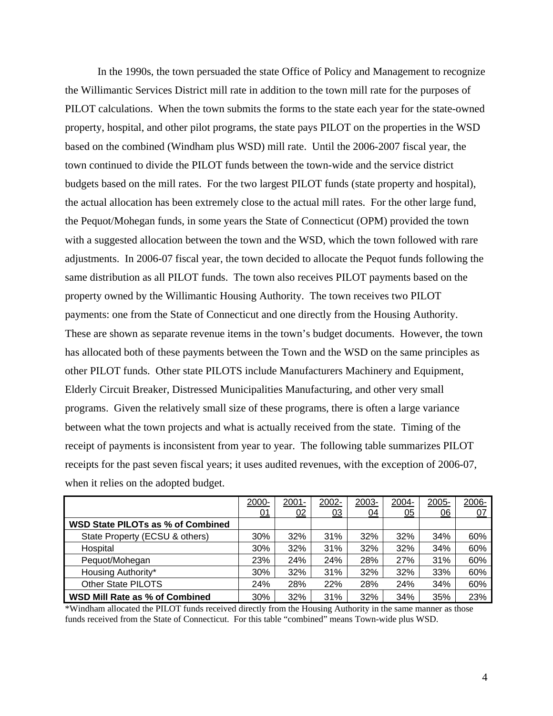In the 1990s, the town persuaded the state Office of Policy and Management to recognize the Willimantic Services District mill rate in addition to the town mill rate for the purposes of PILOT calculations. When the town submits the forms to the state each year for the state-owned property, hospital, and other pilot programs, the state pays PILOT on the properties in the WSD based on the combined (Windham plus WSD) mill rate. Until the 2006-2007 fiscal year, the town continued to divide the PILOT funds between the town-wide and the service district budgets based on the mill rates. For the two largest PILOT funds (state property and hospital), the actual allocation has been extremely close to the actual mill rates. For the other large fund, the Pequot/Mohegan funds, in some years the State of Connecticut (OPM) provided the town with a suggested allocation between the town and the WSD, which the town followed with rare adjustments. In 2006-07 fiscal year, the town decided to allocate the Pequot funds following the same distribution as all PILOT funds. The town also receives PILOT payments based on the property owned by the Willimantic Housing Authority. The town receives two PILOT payments: one from the State of Connecticut and one directly from the Housing Authority. These are shown as separate revenue items in the town's budget documents. However, the town has allocated both of these payments between the Town and the WSD on the same principles as other PILOT funds. Other state PILOTS include Manufacturers Machinery and Equipment, Elderly Circuit Breaker, Distressed Municipalities Manufacturing, and other very small programs. Given the relatively small size of these programs, there is often a large variance between what the town projects and what is actually received from the state. Timing of the receipt of payments is inconsistent from year to year. The following table summarizes PILOT receipts for the past seven fiscal years; it uses audited revenues, with the exception of 2006-07, when it relies on the adopted budget.

|                                       | 2000- | $2001 -$ | 2002- | 2003- | 2004-            | 2005-            | 2006- |
|---------------------------------------|-------|----------|-------|-------|------------------|------------------|-------|
|                                       | 01    | 02       | 03    | 04    | $\underline{05}$ | $\underline{06}$ | 07    |
| WSD State PILOTs as % of Combined     |       |          |       |       |                  |                  |       |
| State Property (ECSU & others)        | 30%   | 32%      | 31%   | 32%   | 32%              | 34%              | 60%   |
| Hospital                              | 30%   | 32%      | 31%   | 32%   | 32%              | 34%              | 60%   |
| Pequot/Mohegan                        | 23%   | 24%      | 24%   | 28%   | 27%              | 31%              | 60%   |
| Housing Authority*                    | 30%   | 32%      | 31%   | 32%   | 32%              | 33%              | 60%   |
| Other State PILOTS                    | 24%   | 28%      | 22%   | 28%   | 24%              | 34%              | 60%   |
| <b>WSD Mill Rate as % of Combined</b> | 30%   | 32%      | 31%   | 32%   | 34%              | 35%              | 23%   |

\*Windham allocated the PILOT funds received directly from the Housing Authority in the same manner as those funds received from the State of Connecticut. For this table "combined" means Town-wide plus WSD.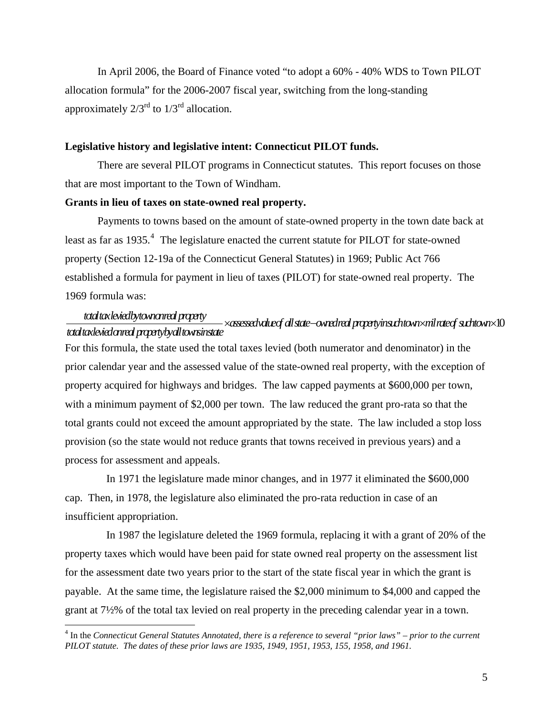In April 2006, the Board of Finance voted "to adopt a 60% - 40% WDS to Town PILOT allocation formula" for the 2006-2007 fiscal year, switching from the long-standing approximately  $2/3^{rd}$  to  $1/3^{rd}$  allocation.

### **Legislative history and legislative intent: Connecticut PILOT funds.**

There are several PILOT programs in Connecticut statutes. This report focuses on those that are most important to the Town of Windham.

#### **Grants in lieu of taxes on state-owned real property.**

Payments to towns based on the amount of state-owned property in the town date back at least as far as  $1935.^4$  $1935.^4$  The legislature enacted the current statute for PILOT for state-owned property (Section 12-19a of the Connecticut General Statutes) in 1969; Public Act 766 established a formula for payment in lieu of taxes (PILOT) for state-owned real property. The 1969 formula was:

#### *totaltaxleviedbytownonrealproperty totaltaxleviedonrealpropertybyalltownsinstate* ×− × *assessedvalueof allstate ownedrealpropertyinsuchtown milrateof suchtown*×10

For this formula, the state used the total taxes levied (both numerator and denominator) in the prior calendar year and the assessed value of the state-owned real property, with the exception of property acquired for highways and bridges. The law capped payments at \$600,000 per town, with a minimum payment of \$2,000 per town. The law reduced the grant pro-rata so that the total grants could not exceed the amount appropriated by the state. The law included a stop loss provision (so the state would not reduce grants that towns received in previous years) and a process for assessment and appeals.

 In 1971 the legislature made minor changes, and in 1977 it eliminated the \$600,000 cap. Then, in 1978, the legislature also eliminated the pro-rata reduction in case of an insufficient appropriation.

 In 1987 the legislature deleted the 1969 formula, replacing it with a grant of 20% of the property taxes which would have been paid for state owned real property on the assessment list for the assessment date two years prior to the start of the state fiscal year in which the grant is payable. At the same time, the legislature raised the \$2,000 minimum to \$4,000 and capped the grant at 7½% of the total tax levied on real property in the preceding calendar year in a town.

<span id="page-4-0"></span> 4 In the *Connecticut General Statutes Annotated, there is a reference to several "prior laws" – prior to the current PILOT statute. The dates of these prior laws are 1935, 1949, 1951, 1953, 155, 1958, and 1961.*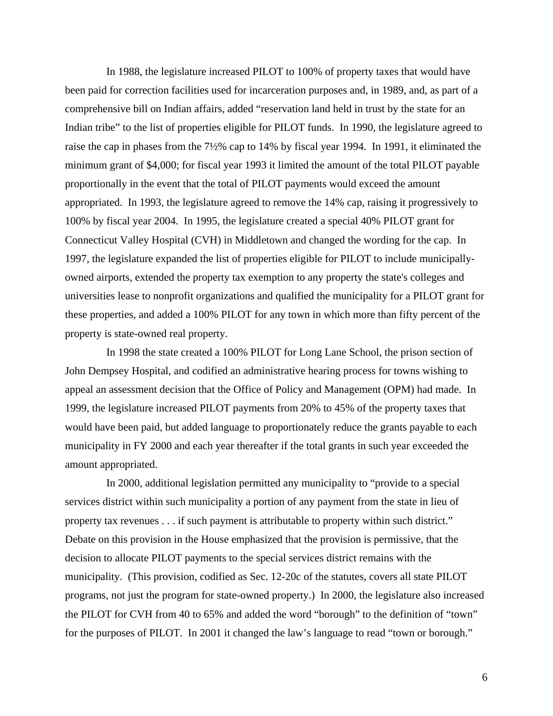In 1988, the legislature increased PILOT to 100% of property taxes that would have been paid for correction facilities used for incarceration purposes and, in 1989, and, as part of a comprehensive bill on Indian affairs, added "reservation land held in trust by the state for an Indian tribe" to the list of properties eligible for PILOT funds. In 1990, the legislature agreed to raise the cap in phases from the 7½% cap to 14% by fiscal year 1994. In 1991, it eliminated the minimum grant of \$4,000; for fiscal year 1993 it limited the amount of the total PILOT payable proportionally in the event that the total of PILOT payments would exceed the amount appropriated. In 1993, the legislature agreed to remove the 14% cap, raising it progressively to 100% by fiscal year 2004. In 1995, the legislature created a special 40% PILOT grant for Connecticut Valley Hospital (CVH) in Middletown and changed the wording for the cap. In 1997, the legislature expanded the list of properties eligible for PILOT to include municipallyowned airports, extended the property tax exemption to any property the state's colleges and universities lease to nonprofit organizations and qualified the municipality for a PILOT grant for these properties, and added a 100% PILOT for any town in which more than fifty percent of the property is state-owned real property.

 In 1998 the state created a 100% PILOT for Long Lane School, the prison section of John Dempsey Hospital, and codified an administrative hearing process for towns wishing to appeal an assessment decision that the Office of Policy and Management (OPM) had made. In 1999, the legislature increased PILOT payments from 20% to 45% of the property taxes that would have been paid, but added language to proportionately reduce the grants payable to each municipality in FY 2000 and each year thereafter if the total grants in such year exceeded the amount appropriated.

 In 2000, additional legislation permitted any municipality to "provide to a special services district within such municipality a portion of any payment from the state in lieu of property tax revenues . . . if such payment is attributable to property within such district." Debate on this provision in the House emphasized that the provision is permissive, that the decision to allocate PILOT payments to the special services district remains with the municipality. (This provision, codified as Sec. 12-20c of the statutes, covers all state PILOT programs, not just the program for state-owned property.) In 2000, the legislature also increased the PILOT for CVH from 40 to 65% and added the word "borough" to the definition of "town" for the purposes of PILOT. In 2001 it changed the law's language to read "town or borough."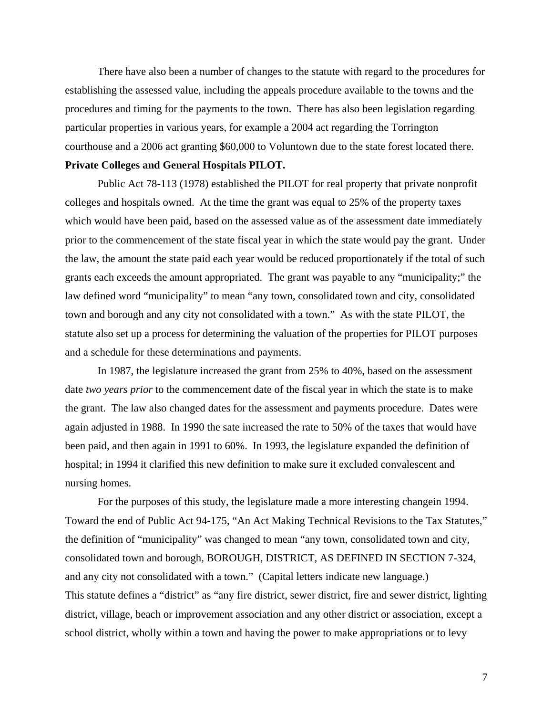There have also been a number of changes to the statute with regard to the procedures for establishing the assessed value, including the appeals procedure available to the towns and the procedures and timing for the payments to the town. There has also been legislation regarding particular properties in various years, for example a 2004 act regarding the Torrington courthouse and a 2006 act granting \$60,000 to Voluntown due to the state forest located there. **Private Colleges and General Hospitals PILOT.** 

Public Act 78-113 (1978) established the PILOT for real property that private nonprofit colleges and hospitals owned. At the time the grant was equal to 25% of the property taxes which would have been paid, based on the assessed value as of the assessment date immediately prior to the commencement of the state fiscal year in which the state would pay the grant. Under the law, the amount the state paid each year would be reduced proportionately if the total of such grants each exceeds the amount appropriated. The grant was payable to any "municipality;" the law defined word "municipality" to mean "any town, consolidated town and city, consolidated town and borough and any city not consolidated with a town." As with the state PILOT, the statute also set up a process for determining the valuation of the properties for PILOT purposes and a schedule for these determinations and payments.

 In 1987, the legislature increased the grant from 25% to 40%, based on the assessment date *two years prior* to the commencement date of the fiscal year in which the state is to make the grant. The law also changed dates for the assessment and payments procedure. Dates were again adjusted in 1988. In 1990 the sate increased the rate to 50% of the taxes that would have been paid, and then again in 1991 to 60%. In 1993, the legislature expanded the definition of hospital; in 1994 it clarified this new definition to make sure it excluded convalescent and nursing homes.

 For the purposes of this study, the legislature made a more interesting changein 1994. Toward the end of Public Act 94-175, "An Act Making Technical Revisions to the Tax Statutes," the definition of "municipality" was changed to mean "any town, consolidated town and city, consolidated town and borough, BOROUGH, DISTRICT, AS DEFINED IN SECTION 7-324, and any city not consolidated with a town." (Capital letters indicate new language.) This statute defines a "district" as "any fire district, sewer district, fire and sewer district, lighting district, village, beach or improvement association and any other district or association, except a school district, wholly within a town and having the power to make appropriations or to levy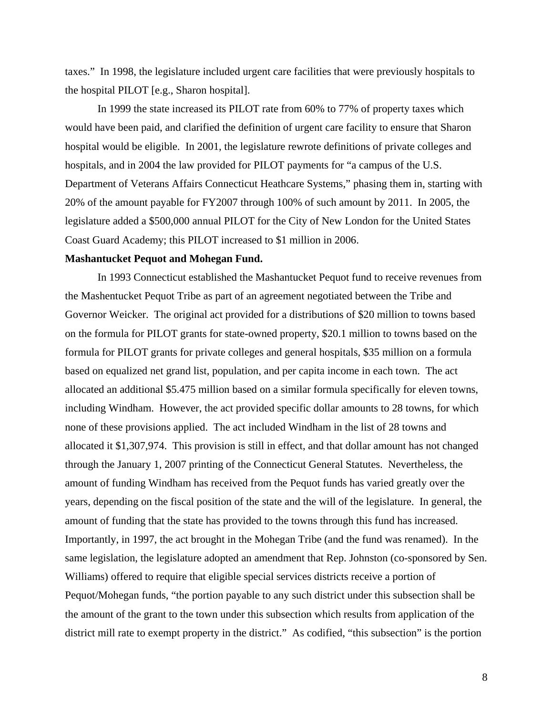taxes." In 1998, the legislature included urgent care facilities that were previously hospitals to the hospital PILOT [e.g., Sharon hospital].

In 1999 the state increased its PILOT rate from 60% to 77% of property taxes which would have been paid, and clarified the definition of urgent care facility to ensure that Sharon hospital would be eligible. In 2001, the legislature rewrote definitions of private colleges and hospitals, and in 2004 the law provided for PILOT payments for "a campus of the U.S. Department of Veterans Affairs Connecticut Heathcare Systems," phasing them in, starting with 20% of the amount payable for FY2007 through 100% of such amount by 2011. In 2005, the legislature added a \$500,000 annual PILOT for the City of New London for the United States Coast Guard Academy; this PILOT increased to \$1 million in 2006.

# **Mashantucket Pequot and Mohegan Fund.**

In 1993 Connecticut established the Mashantucket Pequot fund to receive revenues from the Mashentucket Pequot Tribe as part of an agreement negotiated between the Tribe and Governor Weicker. The original act provided for a distributions of \$20 million to towns based on the formula for PILOT grants for state-owned property, \$20.1 million to towns based on the formula for PILOT grants for private colleges and general hospitals, \$35 million on a formula based on equalized net grand list, population, and per capita income in each town. The act allocated an additional \$5.475 million based on a similar formula specifically for eleven towns, including Windham. However, the act provided specific dollar amounts to 28 towns, for which none of these provisions applied. The act included Windham in the list of 28 towns and allocated it \$1,307,974. This provision is still in effect, and that dollar amount has not changed through the January 1, 2007 printing of the Connecticut General Statutes. Nevertheless, the amount of funding Windham has received from the Pequot funds has varied greatly over the years, depending on the fiscal position of the state and the will of the legislature. In general, the amount of funding that the state has provided to the towns through this fund has increased. Importantly, in 1997, the act brought in the Mohegan Tribe (and the fund was renamed). In the same legislation, the legislature adopted an amendment that Rep. Johnston (co-sponsored by Sen. Williams) offered to require that eligible special services districts receive a portion of Pequot/Mohegan funds, "the portion payable to any such district under this subsection shall be the amount of the grant to the town under this subsection which results from application of the district mill rate to exempt property in the district." As codified, "this subsection" is the portion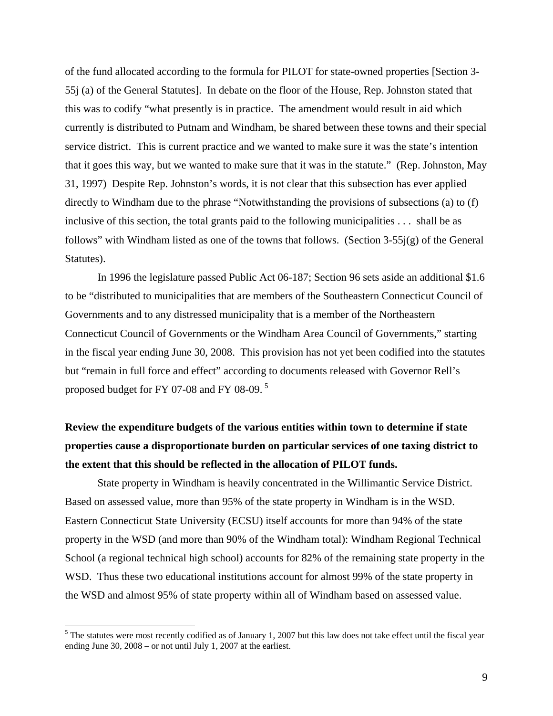of the fund allocated according to the formula for PILOT for state-owned properties [Section 3- 55j (a) of the General Statutes]. In debate on the floor of the House, Rep. Johnston stated that this was to codify "what presently is in practice. The amendment would result in aid which currently is distributed to Putnam and Windham, be shared between these towns and their special service district. This is current practice and we wanted to make sure it was the state's intention that it goes this way, but we wanted to make sure that it was in the statute." (Rep. Johnston, May 31, 1997) Despite Rep. Johnston's words, it is not clear that this subsection has ever applied directly to Windham due to the phrase "Notwithstanding the provisions of subsections (a) to (f) inclusive of this section, the total grants paid to the following municipalities . . . shall be as follows" with Windham listed as one of the towns that follows. (Section  $3-55j(g)$  of the General Statutes).

 In 1996 the legislature passed Public Act 06-187; Section 96 sets aside an additional \$1.6 to be "distributed to municipalities that are members of the Southeastern Connecticut Council of Governments and to any distressed municipality that is a member of the Northeastern Connecticut Council of Governments or the Windham Area Council of Governments," starting in the fiscal year ending June 30, 2008. This provision has not yet been codified into the statutes but "remain in full force and effect" according to documents released with Governor Rell's proposed budget for FY 07-08 and FY 08-09. [5](#page-8-0)

# **Review the expenditure budgets of the various entities within town to determine if state properties cause a disproportionate burden on particular services of one taxing district to the extent that this should be reflected in the allocation of PILOT funds.**

 State property in Windham is heavily concentrated in the Willimantic Service District. Based on assessed value, more than 95% of the state property in Windham is in the WSD. Eastern Connecticut State University (ECSU) itself accounts for more than 94% of the state property in the WSD (and more than 90% of the Windham total): Windham Regional Technical School (a regional technical high school) accounts for 82% of the remaining state property in the WSD. Thus these two educational institutions account for almost 99% of the state property in the WSD and almost 95% of state property within all of Windham based on assessed value.

<span id="page-8-0"></span> $<sup>5</sup>$  The statutes were most recently codified as of January 1, 2007 but this law does not take effect until the fiscal year</sup> ending June 30, 2008 – or not until July 1, 2007 at the earliest.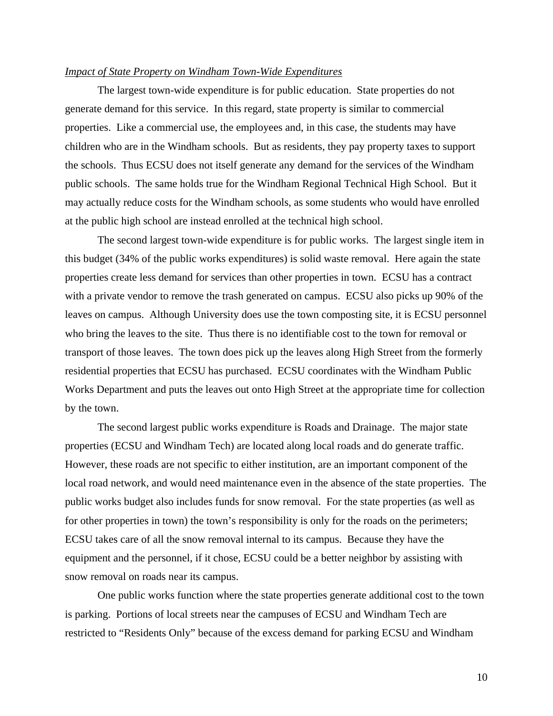### *Impact of State Property on Windham Town-Wide Expenditures*

 The largest town-wide expenditure is for public education. State properties do not generate demand for this service. In this regard, state property is similar to commercial properties. Like a commercial use, the employees and, in this case, the students may have children who are in the Windham schools. But as residents, they pay property taxes to support the schools. Thus ECSU does not itself generate any demand for the services of the Windham public schools. The same holds true for the Windham Regional Technical High School. But it may actually reduce costs for the Windham schools, as some students who would have enrolled at the public high school are instead enrolled at the technical high school.

The second largest town-wide expenditure is for public works. The largest single item in this budget (34% of the public works expenditures) is solid waste removal. Here again the state properties create less demand for services than other properties in town. ECSU has a contract with a private vendor to remove the trash generated on campus. ECSU also picks up 90% of the leaves on campus. Although University does use the town composting site, it is ECSU personnel who bring the leaves to the site. Thus there is no identifiable cost to the town for removal or transport of those leaves. The town does pick up the leaves along High Street from the formerly residential properties that ECSU has purchased. ECSU coordinates with the Windham Public Works Department and puts the leaves out onto High Street at the appropriate time for collection by the town.

 The second largest public works expenditure is Roads and Drainage. The major state properties (ECSU and Windham Tech) are located along local roads and do generate traffic. However, these roads are not specific to either institution, are an important component of the local road network, and would need maintenance even in the absence of the state properties. The public works budget also includes funds for snow removal. For the state properties (as well as for other properties in town) the town's responsibility is only for the roads on the perimeters; ECSU takes care of all the snow removal internal to its campus. Because they have the equipment and the personnel, if it chose, ECSU could be a better neighbor by assisting with snow removal on roads near its campus.

 One public works function where the state properties generate additional cost to the town is parking. Portions of local streets near the campuses of ECSU and Windham Tech are restricted to "Residents Only" because of the excess demand for parking ECSU and Windham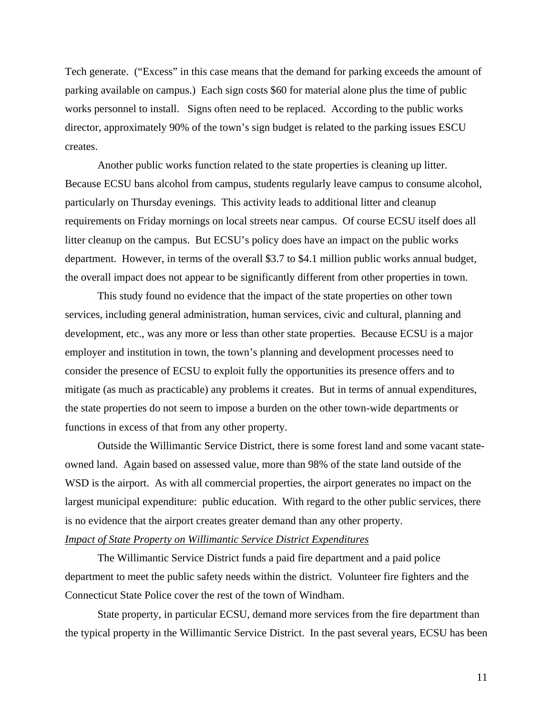Tech generate. ("Excess" in this case means that the demand for parking exceeds the amount of parking available on campus.) Each sign costs \$60 for material alone plus the time of public works personnel to install. Signs often need to be replaced. According to the public works director, approximately 90% of the town's sign budget is related to the parking issues ESCU creates.

 Another public works function related to the state properties is cleaning up litter. Because ECSU bans alcohol from campus, students regularly leave campus to consume alcohol, particularly on Thursday evenings. This activity leads to additional litter and cleanup requirements on Friday mornings on local streets near campus. Of course ECSU itself does all litter cleanup on the campus. But ECSU's policy does have an impact on the public works department. However, in terms of the overall \$3.7 to \$4.1 million public works annual budget, the overall impact does not appear to be significantly different from other properties in town.

 This study found no evidence that the impact of the state properties on other town services, including general administration, human services, civic and cultural, planning and development, etc., was any more or less than other state properties. Because ECSU is a major employer and institution in town, the town's planning and development processes need to consider the presence of ECSU to exploit fully the opportunities its presence offers and to mitigate (as much as practicable) any problems it creates. But in terms of annual expenditures, the state properties do not seem to impose a burden on the other town-wide departments or functions in excess of that from any other property.

 Outside the Willimantic Service District, there is some forest land and some vacant stateowned land. Again based on assessed value, more than 98% of the state land outside of the WSD is the airport. As with all commercial properties, the airport generates no impact on the largest municipal expenditure: public education. With regard to the other public services, there is no evidence that the airport creates greater demand than any other property. *Impact of State Property on Willimantic Service District Expenditures*

 The Willimantic Service District funds a paid fire department and a paid police department to meet the public safety needs within the district. Volunteer fire fighters and the Connecticut State Police cover the rest of the town of Windham.

 State property, in particular ECSU, demand more services from the fire department than the typical property in the Willimantic Service District. In the past several years, ECSU has been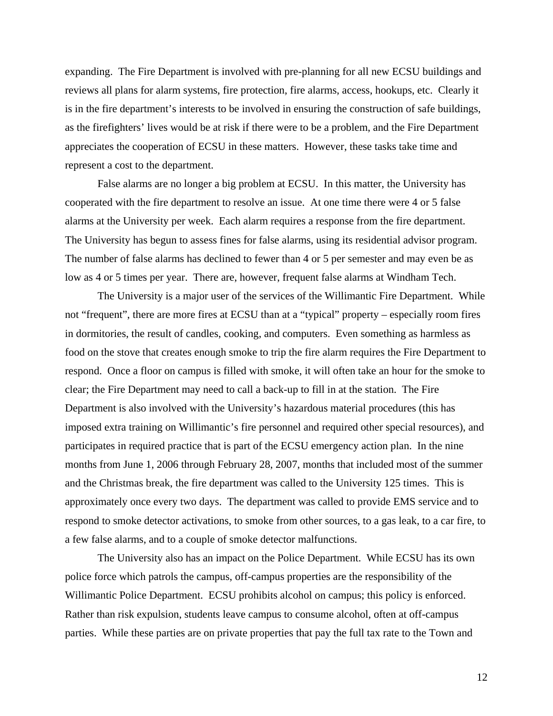expanding. The Fire Department is involved with pre-planning for all new ECSU buildings and reviews all plans for alarm systems, fire protection, fire alarms, access, hookups, etc. Clearly it is in the fire department's interests to be involved in ensuring the construction of safe buildings, as the firefighters' lives would be at risk if there were to be a problem, and the Fire Department appreciates the cooperation of ECSU in these matters. However, these tasks take time and represent a cost to the department.

 False alarms are no longer a big problem at ECSU. In this matter, the University has cooperated with the fire department to resolve an issue. At one time there were 4 or 5 false alarms at the University per week. Each alarm requires a response from the fire department. The University has begun to assess fines for false alarms, using its residential advisor program. The number of false alarms has declined to fewer than 4 or 5 per semester and may even be as low as 4 or 5 times per year. There are, however, frequent false alarms at Windham Tech.

 The University is a major user of the services of the Willimantic Fire Department. While not "frequent", there are more fires at ECSU than at a "typical" property – especially room fires in dormitories, the result of candles, cooking, and computers. Even something as harmless as food on the stove that creates enough smoke to trip the fire alarm requires the Fire Department to respond. Once a floor on campus is filled with smoke, it will often take an hour for the smoke to clear; the Fire Department may need to call a back-up to fill in at the station. The Fire Department is also involved with the University's hazardous material procedures (this has imposed extra training on Willimantic's fire personnel and required other special resources), and participates in required practice that is part of the ECSU emergency action plan. In the nine months from June 1, 2006 through February 28, 2007, months that included most of the summer and the Christmas break, the fire department was called to the University 125 times. This is approximately once every two days. The department was called to provide EMS service and to respond to smoke detector activations, to smoke from other sources, to a gas leak, to a car fire, to a few false alarms, and to a couple of smoke detector malfunctions.

 The University also has an impact on the Police Department. While ECSU has its own police force which patrols the campus, off-campus properties are the responsibility of the Willimantic Police Department. ECSU prohibits alcohol on campus; this policy is enforced. Rather than risk expulsion, students leave campus to consume alcohol, often at off-campus parties. While these parties are on private properties that pay the full tax rate to the Town and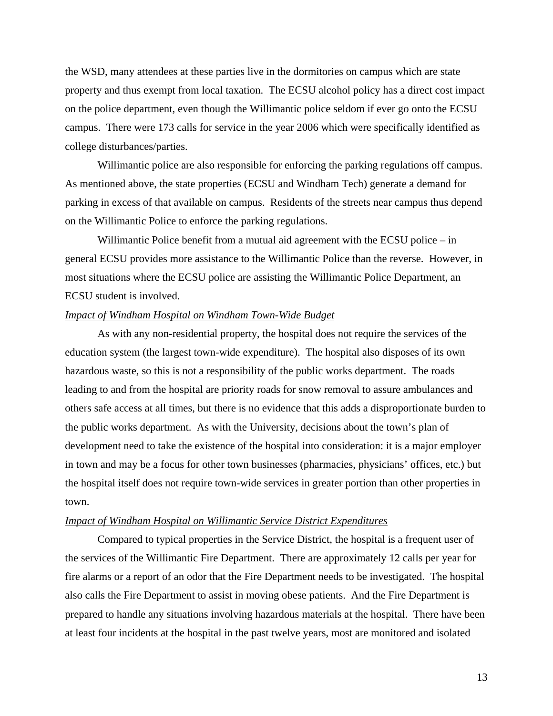the WSD, many attendees at these parties live in the dormitories on campus which are state property and thus exempt from local taxation. The ECSU alcohol policy has a direct cost impact on the police department, even though the Willimantic police seldom if ever go onto the ECSU campus. There were 173 calls for service in the year 2006 which were specifically identified as college disturbances/parties.

 Willimantic police are also responsible for enforcing the parking regulations off campus. As mentioned above, the state properties (ECSU and Windham Tech) generate a demand for parking in excess of that available on campus. Residents of the streets near campus thus depend on the Willimantic Police to enforce the parking regulations.

Willimantic Police benefit from a mutual aid agreement with the ECSU police – in general ECSU provides more assistance to the Willimantic Police than the reverse. However, in most situations where the ECSU police are assisting the Willimantic Police Department, an ECSU student is involved.

# *Impact of Windham Hospital on Windham Town-Wide Budget*

 As with any non-residential property, the hospital does not require the services of the education system (the largest town-wide expenditure). The hospital also disposes of its own hazardous waste, so this is not a responsibility of the public works department. The roads leading to and from the hospital are priority roads for snow removal to assure ambulances and others safe access at all times, but there is no evidence that this adds a disproportionate burden to the public works department. As with the University, decisions about the town's plan of development need to take the existence of the hospital into consideration: it is a major employer in town and may be a focus for other town businesses (pharmacies, physicians' offices, etc.) but the hospital itself does not require town-wide services in greater portion than other properties in town.

#### *Impact of Windham Hospital on Willimantic Service District Expenditures*

 Compared to typical properties in the Service District, the hospital is a frequent user of the services of the Willimantic Fire Department. There are approximately 12 calls per year for fire alarms or a report of an odor that the Fire Department needs to be investigated. The hospital also calls the Fire Department to assist in moving obese patients. And the Fire Department is prepared to handle any situations involving hazardous materials at the hospital. There have been at least four incidents at the hospital in the past twelve years, most are monitored and isolated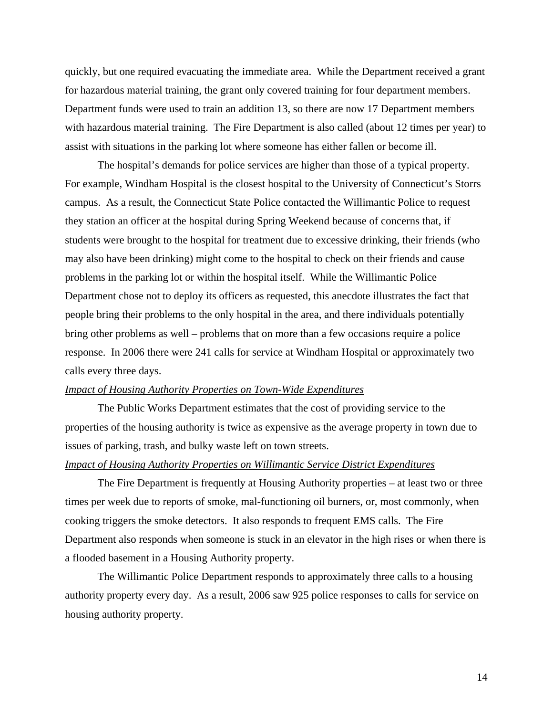quickly, but one required evacuating the immediate area. While the Department received a grant for hazardous material training, the grant only covered training for four department members. Department funds were used to train an addition 13, so there are now 17 Department members with hazardous material training. The Fire Department is also called (about 12 times per year) to assist with situations in the parking lot where someone has either fallen or become ill.

 The hospital's demands for police services are higher than those of a typical property. For example, Windham Hospital is the closest hospital to the University of Connecticut's Storrs campus. As a result, the Connecticut State Police contacted the Willimantic Police to request they station an officer at the hospital during Spring Weekend because of concerns that, if students were brought to the hospital for treatment due to excessive drinking, their friends (who may also have been drinking) might come to the hospital to check on their friends and cause problems in the parking lot or within the hospital itself. While the Willimantic Police Department chose not to deploy its officers as requested, this anecdote illustrates the fact that people bring their problems to the only hospital in the area, and there individuals potentially bring other problems as well – problems that on more than a few occasions require a police response. In 2006 there were 241 calls for service at Windham Hospital or approximately two calls every three days.

### *Impact of Housing Authority Properties on Town-Wide Expenditures*

The Public Works Department estimates that the cost of providing service to the properties of the housing authority is twice as expensive as the average property in town due to issues of parking, trash, and bulky waste left on town streets.

# *Impact of Housing Authority Properties on Willimantic Service District Expenditures*

 The Fire Department is frequently at Housing Authority properties – at least two or three times per week due to reports of smoke, mal-functioning oil burners, or, most commonly, when cooking triggers the smoke detectors. It also responds to frequent EMS calls. The Fire Department also responds when someone is stuck in an elevator in the high rises or when there is a flooded basement in a Housing Authority property.

 The Willimantic Police Department responds to approximately three calls to a housing authority property every day. As a result, 2006 saw 925 police responses to calls for service on housing authority property.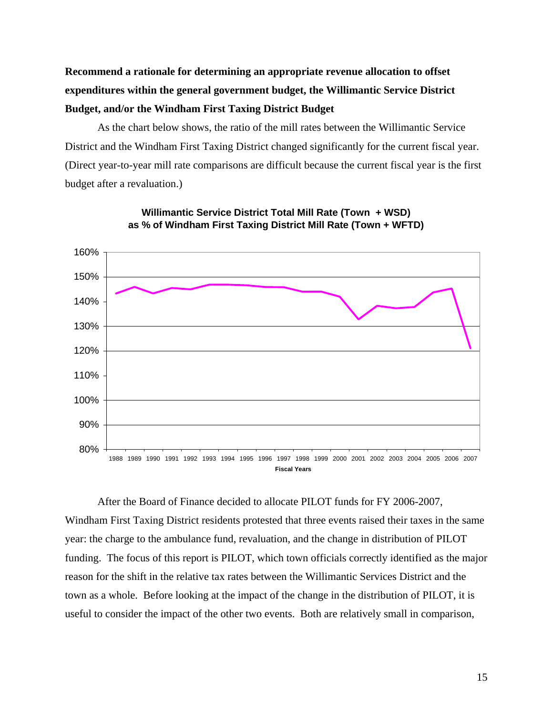**Recommend a rationale for determining an appropriate revenue allocation to offset expenditures within the general government budget, the Willimantic Service District Budget, and/or the Windham First Taxing District Budget** 

As the chart below shows, the ratio of the mill rates between the Willimantic Service District and the Windham First Taxing District changed significantly for the current fiscal year. (Direct year-to-year mill rate comparisons are difficult because the current fiscal year is the first budget after a revaluation.)





After the Board of Finance decided to allocate PILOT funds for FY 2006-2007, Windham First Taxing District residents protested that three events raised their taxes in the same year: the charge to the ambulance fund, revaluation, and the change in distribution of PILOT funding. The focus of this report is PILOT, which town officials correctly identified as the major reason for the shift in the relative tax rates between the Willimantic Services District and the town as a whole. Before looking at the impact of the change in the distribution of PILOT, it is useful to consider the impact of the other two events. Both are relatively small in comparison,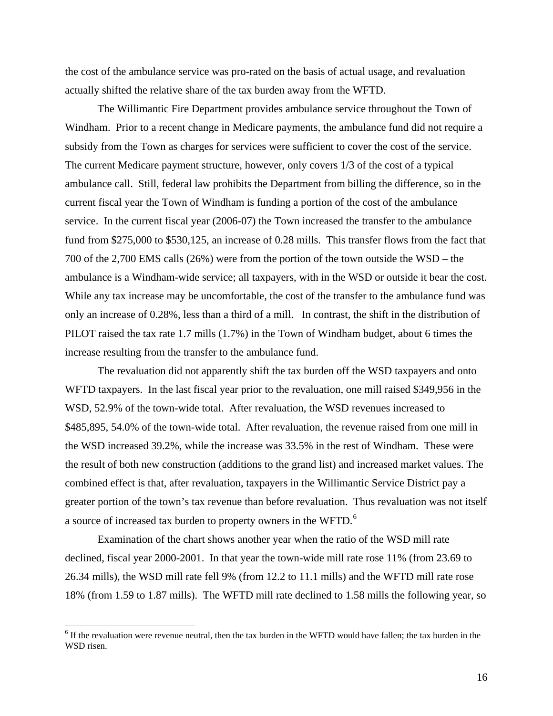the cost of the ambulance service was pro-rated on the basis of actual usage, and revaluation actually shifted the relative share of the tax burden away from the WFTD.

 The Willimantic Fire Department provides ambulance service throughout the Town of Windham. Prior to a recent change in Medicare payments, the ambulance fund did not require a subsidy from the Town as charges for services were sufficient to cover the cost of the service. The current Medicare payment structure, however, only covers 1/3 of the cost of a typical ambulance call. Still, federal law prohibits the Department from billing the difference, so in the current fiscal year the Town of Windham is funding a portion of the cost of the ambulance service. In the current fiscal year (2006-07) the Town increased the transfer to the ambulance fund from \$275,000 to \$530,125, an increase of 0.28 mills. This transfer flows from the fact that 700 of the 2,700 EMS calls (26%) were from the portion of the town outside the WSD – the ambulance is a Windham-wide service; all taxpayers, with in the WSD or outside it bear the cost. While any tax increase may be uncomfortable, the cost of the transfer to the ambulance fund was only an increase of 0.28%, less than a third of a mill. In contrast, the shift in the distribution of PILOT raised the tax rate 1.7 mills (1.7%) in the Town of Windham budget, about 6 times the increase resulting from the transfer to the ambulance fund.

 The revaluation did not apparently shift the tax burden off the WSD taxpayers and onto WFTD taxpayers. In the last fiscal year prior to the revaluation, one mill raised \$349,956 in the WSD, 52.9% of the town-wide total. After revaluation, the WSD revenues increased to \$485,895, 54.0% of the town-wide total. After revaluation, the revenue raised from one mill in the WSD increased 39.2%, while the increase was 33.5% in the rest of Windham. These were the result of both new construction (additions to the grand list) and increased market values. The combined effect is that, after revaluation, taxpayers in the Willimantic Service District pay a greater portion of the town's tax revenue than before revaluation. Thus revaluation was not itself a source of increased tax burden to property owners in the WFTD.<sup>[6](#page-15-0)</sup>

 Examination of the chart shows another year when the ratio of the WSD mill rate declined, fiscal year 2000-2001. In that year the town-wide mill rate rose 11% (from 23.69 to 26.34 mills), the WSD mill rate fell 9% (from 12.2 to 11.1 mills) and the WFTD mill rate rose 18% (from 1.59 to 1.87 mills). The WFTD mill rate declined to 1.58 mills the following year, so

<span id="page-15-0"></span><sup>&</sup>lt;sup>6</sup> If the revaluation were revenue neutral, then the tax burden in the WFTD would have fallen; the tax burden in the WSD risen.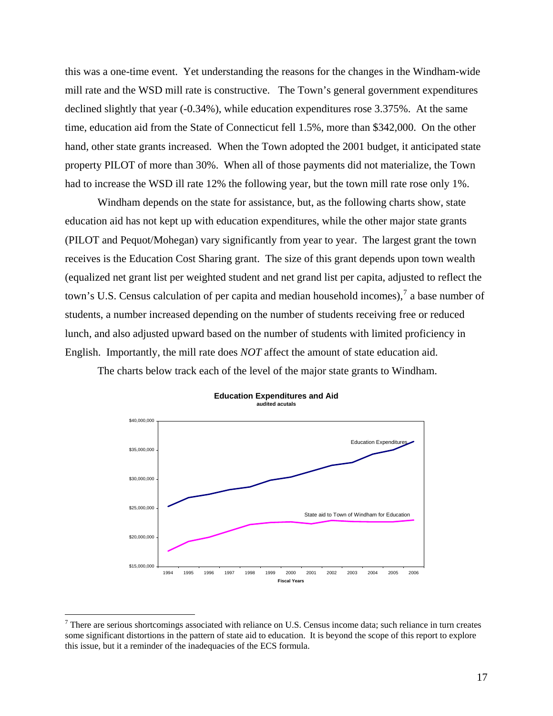this was a one-time event. Yet understanding the reasons for the changes in the Windham-wide mill rate and the WSD mill rate is constructive. The Town's general government expenditures declined slightly that year (-0.34%), while education expenditures rose 3.375%. At the same time, education aid from the State of Connecticut fell 1.5%, more than \$342,000. On the other hand, other state grants increased. When the Town adopted the 2001 budget, it anticipated state property PILOT of more than 30%. When all of those payments did not materialize, the Town had to increase the WSD ill rate 12% the following year, but the town mill rate rose only 1%.

 Windham depends on the state for assistance, but, as the following charts show, state education aid has not kept up with education expenditures, while the other major state grants (PILOT and Pequot/Mohegan) vary significantly from year to year. The largest grant the town receives is the Education Cost Sharing grant. The size of this grant depends upon town wealth (equalized net grant list per weighted student and net grand list per capita, adjusted to reflect the town's U.S. Census calculation of per capita and median household incomes),  $\frac{1}{2}$  a base number of students, a number increased depending on the number of students receiving free or reduced lunch, and also adjusted upward based on the number of students with limited proficiency in English. Importantly, the mill rate does *NOT* affect the amount of state education aid.

The charts below track each of the level of the major state grants to Windham.





<span id="page-16-0"></span> $7$  There are serious shortcomings associated with reliance on U.S. Census income data; such reliance in turn creates some significant distortions in the pattern of state aid to education. It is beyond the scope of this report to explore this issue, but it a reminder of the inadequacies of the ECS formula.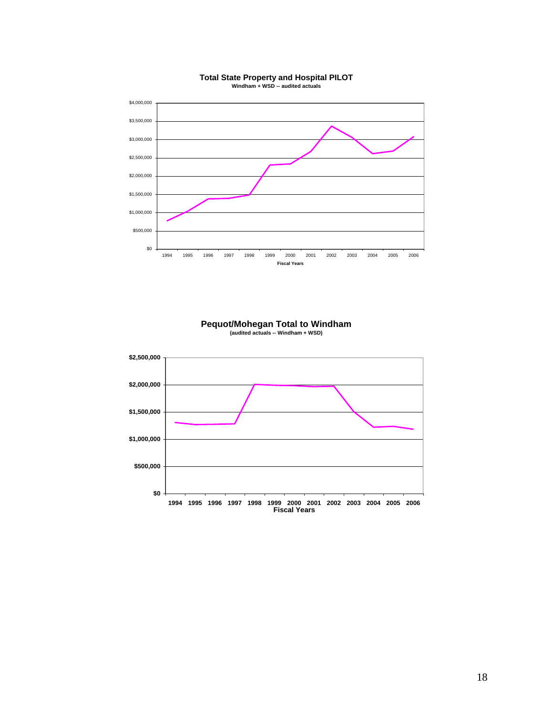

# **Total State Property and Hospital PILOT Windham + WSD -- audited actuals**

# **Pequot/Mohegan Total to Windham (audited actuals -- Windham + WSD)**

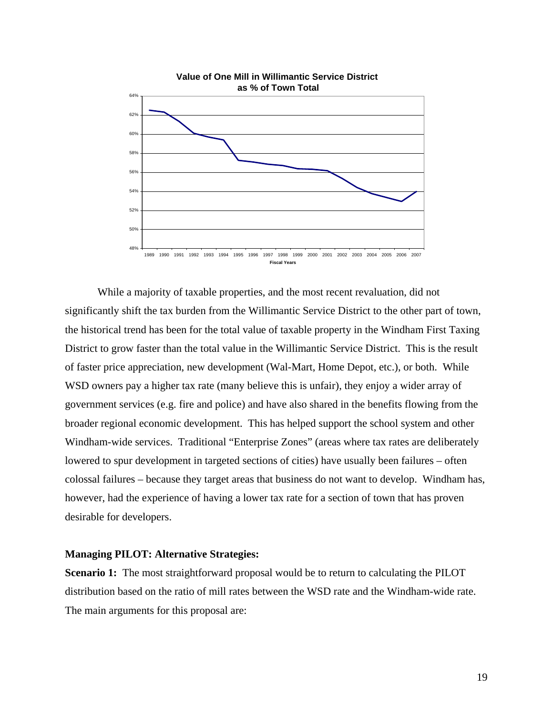

While a majority of taxable properties, and the most recent revaluation, did not significantly shift the tax burden from the Willimantic Service District to the other part of town, the historical trend has been for the total value of taxable property in the Windham First Taxing District to grow faster than the total value in the Willimantic Service District. This is the result of faster price appreciation, new development (Wal-Mart, Home Depot, etc.), or both. While WSD owners pay a higher tax rate (many believe this is unfair), they enjoy a wider array of government services (e.g. fire and police) and have also shared in the benefits flowing from the broader regional economic development. This has helped support the school system and other Windham-wide services. Traditional "Enterprise Zones" (areas where tax rates are deliberately lowered to spur development in targeted sections of cities) have usually been failures – often colossal failures – because they target areas that business do not want to develop. Windham has, however, had the experience of having a lower tax rate for a section of town that has proven desirable for developers.

# **Managing PILOT: Alternative Strategies:**

**Scenario 1:** The most straightforward proposal would be to return to calculating the PILOT distribution based on the ratio of mill rates between the WSD rate and the Windham-wide rate. The main arguments for this proposal are: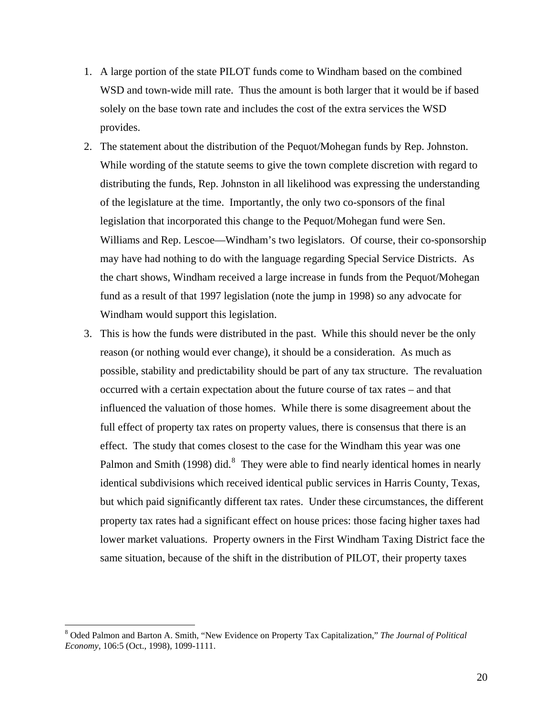- 1. A large portion of the state PILOT funds come to Windham based on the combined WSD and town-wide mill rate. Thus the amount is both larger that it would be if based solely on the base town rate and includes the cost of the extra services the WSD provides.
- 2. The statement about the distribution of the Pequot/Mohegan funds by Rep. Johnston. While wording of the statute seems to give the town complete discretion with regard to distributing the funds, Rep. Johnston in all likelihood was expressing the understanding of the legislature at the time. Importantly, the only two co-sponsors of the final legislation that incorporated this change to the Pequot/Mohegan fund were Sen. Williams and Rep. Lescoe—Windham's two legislators. Of course, their co-sponsorship may have had nothing to do with the language regarding Special Service Districts. As the chart shows, Windham received a large increase in funds from the Pequot/Mohegan fund as a result of that 1997 legislation (note the jump in 1998) so any advocate for Windham would support this legislation.
- 3. This is how the funds were distributed in the past. While this should never be the only reason (or nothing would ever change), it should be a consideration. As much as possible, stability and predictability should be part of any tax structure. The revaluation occurred with a certain expectation about the future course of tax rates – and that influenced the valuation of those homes. While there is some disagreement about the full effect of property tax rates on property values, there is consensus that there is an effect. The study that comes closest to the case for the Windham this year was one Palmon and Smith (199[8](#page-19-0)) did.<sup>8</sup> They were able to find nearly identical homes in nearly identical subdivisions which received identical public services in Harris County, Texas, but which paid significantly different tax rates. Under these circumstances, the different property tax rates had a significant effect on house prices: those facing higher taxes had lower market valuations. Property owners in the First Windham Taxing District face the same situation, because of the shift in the distribution of PILOT, their property taxes

<span id="page-19-0"></span><sup>8</sup> Oded Palmon and Barton A. Smith, "New Evidence on Property Tax Capitalization," *The Journal of Political Economy,* 106:5 (Oct., 1998), 1099-1111.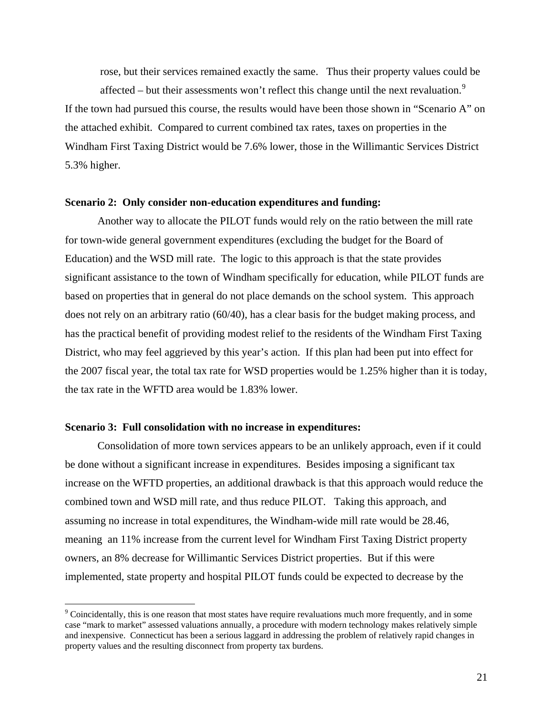rose, but their services remained exactly the same. Thus their property values could be affected – but their assessments won't reflect this change until the next revaluation.<sup>[9](#page-20-0)</sup>

If the town had pursued this course, the results would have been those shown in "Scenario A" on the attached exhibit. Compared to current combined tax rates, taxes on properties in the Windham First Taxing District would be 7.6% lower, those in the Willimantic Services District 5.3% higher.

#### **Scenario 2: Only consider non-education expenditures and funding:**

Another way to allocate the PILOT funds would rely on the ratio between the mill rate for town-wide general government expenditures (excluding the budget for the Board of Education) and the WSD mill rate. The logic to this approach is that the state provides significant assistance to the town of Windham specifically for education, while PILOT funds are based on properties that in general do not place demands on the school system. This approach does not rely on an arbitrary ratio (60/40), has a clear basis for the budget making process, and has the practical benefit of providing modest relief to the residents of the Windham First Taxing District, who may feel aggrieved by this year's action. If this plan had been put into effect for the 2007 fiscal year, the total tax rate for WSD properties would be 1.25% higher than it is today, the tax rate in the WFTD area would be 1.83% lower.

### **Scenario 3: Full consolidation with no increase in expenditures:**

<u>.</u>

 Consolidation of more town services appears to be an unlikely approach, even if it could be done without a significant increase in expenditures. Besides imposing a significant tax increase on the WFTD properties, an additional drawback is that this approach would reduce the combined town and WSD mill rate, and thus reduce PILOT. Taking this approach, and assuming no increase in total expenditures, the Windham-wide mill rate would be 28.46, meaning an 11% increase from the current level for Windham First Taxing District property owners, an 8% decrease for Willimantic Services District properties. But if this were implemented, state property and hospital PILOT funds could be expected to decrease by the

<span id="page-20-0"></span> $9^9$  Coincidentally, this is one reason that most states have require revaluations much more frequently, and in some case "mark to market" assessed valuations annually, a procedure with modern technology makes relatively simple and inexpensive. Connecticut has been a serious laggard in addressing the problem of relatively rapid changes in property values and the resulting disconnect from property tax burdens.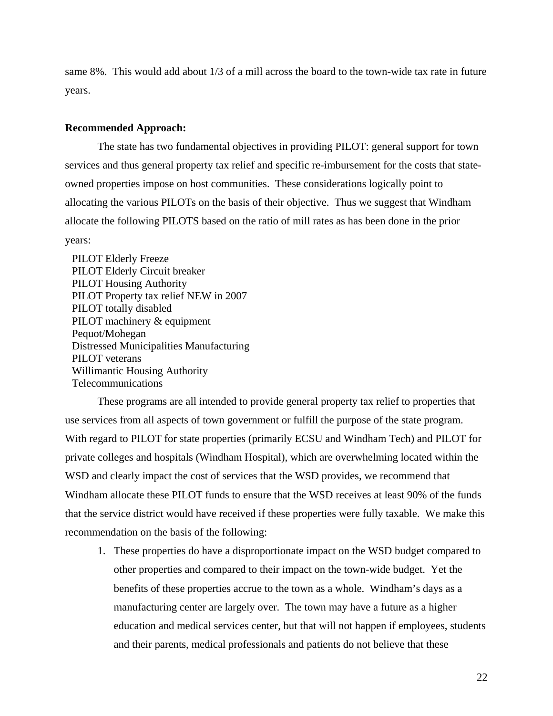same 8%. This would add about 1/3 of a mill across the board to the town-wide tax rate in future years.

#### **Recommended Approach:**

The state has two fundamental objectives in providing PILOT: general support for town services and thus general property tax relief and specific re-imbursement for the costs that stateowned properties impose on host communities. These considerations logically point to allocating the various PILOTs on the basis of their objective. Thus we suggest that Windham allocate the following PILOTS based on the ratio of mill rates as has been done in the prior years:

 PILOT Elderly Freeze PILOT Elderly Circuit breaker PILOT Housing Authority PILOT Property tax relief NEW in 2007 PILOT totally disabled PILOT machinery & equipment Pequot/Mohegan Distressed Municipalities Manufacturing PILOT veterans Willimantic Housing Authority Telecommunications

 These programs are all intended to provide general property tax relief to properties that use services from all aspects of town government or fulfill the purpose of the state program. With regard to PILOT for state properties (primarily ECSU and Windham Tech) and PILOT for private colleges and hospitals (Windham Hospital), which are overwhelming located within the WSD and clearly impact the cost of services that the WSD provides, we recommend that Windham allocate these PILOT funds to ensure that the WSD receives at least 90% of the funds that the service district would have received if these properties were fully taxable. We make this recommendation on the basis of the following:

1. These properties do have a disproportionate impact on the WSD budget compared to other properties and compared to their impact on the town-wide budget. Yet the benefits of these properties accrue to the town as a whole. Windham's days as a manufacturing center are largely over. The town may have a future as a higher education and medical services center, but that will not happen if employees, students and their parents, medical professionals and patients do not believe that these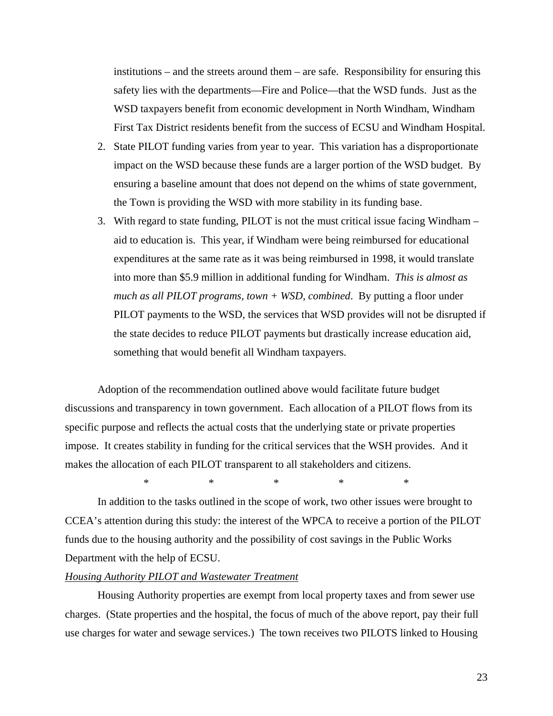institutions – and the streets around them – are safe. Responsibility for ensuring this safety lies with the departments—Fire and Police—that the WSD funds. Just as the WSD taxpayers benefit from economic development in North Windham, Windham First Tax District residents benefit from the success of ECSU and Windham Hospital.

- 2. State PILOT funding varies from year to year. This variation has a disproportionate impact on the WSD because these funds are a larger portion of the WSD budget. By ensuring a baseline amount that does not depend on the whims of state government, the Town is providing the WSD with more stability in its funding base.
- 3. With regard to state funding, PILOT is not the must critical issue facing Windham aid to education is. This year, if Windham were being reimbursed for educational expenditures at the same rate as it was being reimbursed in 1998, it would translate into more than \$5.9 million in additional funding for Windham. *This is almost as much as all PILOT programs, town + WSD, combined*. By putting a floor under PILOT payments to the WSD, the services that WSD provides will not be disrupted if the state decides to reduce PILOT payments but drastically increase education aid, something that would benefit all Windham taxpayers.

Adoption of the recommendation outlined above would facilitate future budget discussions and transparency in town government. Each allocation of a PILOT flows from its specific purpose and reflects the actual costs that the underlying state or private properties impose. It creates stability in funding for the critical services that the WSH provides. And it makes the allocation of each PILOT transparent to all stakeholders and citizens.

\* \* \* \* \*

In addition to the tasks outlined in the scope of work, two other issues were brought to CCEA's attention during this study: the interest of the WPCA to receive a portion of the PILOT funds due to the housing authority and the possibility of cost savings in the Public Works Department with the help of ECSU.

# *Housing Authority PILOT and Wastewater Treatment*

 Housing Authority properties are exempt from local property taxes and from sewer use charges. (State properties and the hospital, the focus of much of the above report, pay their full use charges for water and sewage services.) The town receives two PILOTS linked to Housing